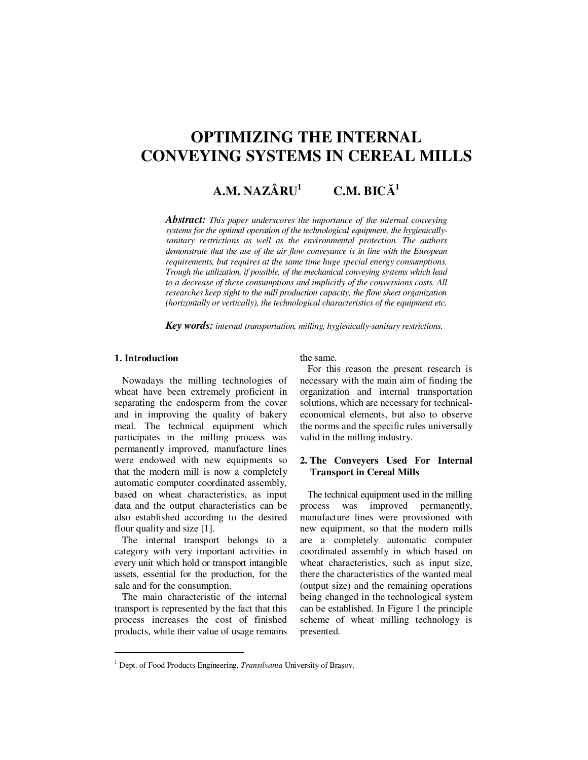# **OPTIMIZING THE INTERNAL CONVEYING SYSTEMS IN CEREAL MILLS**

#### **A.M. NAZÂRU<sup>1</sup> C.M. BIC**Ă **1**

*Abstract: This paper underscores the importance of the internal conveying systems for the optimal operation of the technological equipment, the hygienicallysanitary restrictions as well as the environmental protection. The authors demonstrate that the use of the air flow conveyance is in line with the European requirements, but requires at the same time huge special energy consumptions. Trough the utilization, if possible, of the mechanical conveying systems which lead to a decrease of these consumptions and implicitly of the conversions costs. All researches keep sight to the mill production capacity, the flow sheet organization (horizontally or vertically), the technological characteristics of the equipment etc.* 

*Key words: internal transportation, milling, hygienically-sanitary restrictions.*

# **1. Introduction**

 $\ddot{ }$ 

Nowadays the milling technologies of wheat have been extremely proficient in separating the endosperm from the cover and in improving the quality of bakery meal. The technical equipment which participates in the milling process was permanently improved, manufacture lines were endowed with new equipments so that the modern mill is now a completely automatic computer coordinated assembly, based on wheat characteristics, as input data and the output characteristics can be also established according to the desired flour quality and size [1].

The internal transport belongs to a category with very important activities in every unit which hold or transport intangible assets, essential for the production, for the sale and for the consumption.

The main characteristic of the internal transport is represented by the fact that this process increases the cost of finished products, while their value of usage remains

## the same.

For this reason the present research is necessary with the main aim of finding the organization and internal transportation solutions, which are necessary for technicaleconomical elements, but also to observe the norms and the specific rules universally valid in the milling industry.

# **2. The Conveyers Used For Internal Transport in Cereal Mills**

The technical equipment used in the milling process was improved permanently, manufacture lines were provisioned with new equipment, so that the modern mills are a completely automatic computer coordinated assembly in which based on wheat characteristics, such as input size, there the characteristics of the wanted meal (output size) and the remaining operations being changed in the technological system can be established. In Figure 1 the principle scheme of wheat milling technology is presented.

<sup>&</sup>lt;sup>1</sup> Dept. of Food Products Engineering, *Transilvania* University of Brașov.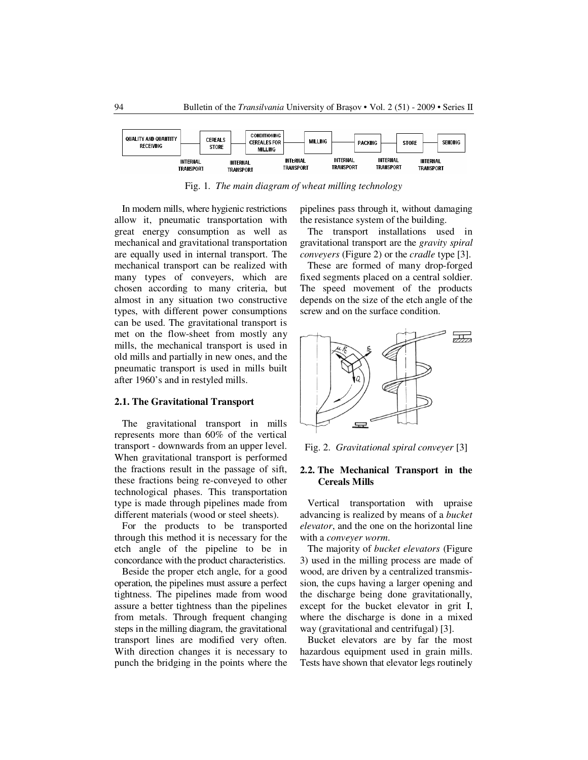

Fig. 1. *The main diagram of wheat milling technology* 

In modern mills, where hygienic restrictions allow it, pneumatic transportation with great energy consumption as well as mechanical and gravitational transportation are equally used in internal transport. The mechanical transport can be realized with many types of conveyers, which are chosen according to many criteria, but almost in any situation two constructive types, with different power consumptions can be used. The gravitational transport is met on the flow-sheet from mostly any mills, the mechanical transport is used in old mills and partially in new ones, and the pneumatic transport is used in mills built after 1960's and in restyled mills.

## **2.1. The Gravitational Transport**

The gravitational transport in mills represents more than 60% of the vertical transport - downwards from an upper level. When gravitational transport is performed the fractions result in the passage of sift, these fractions being re-conveyed to other technological phases. This transportation type is made through pipelines made from different materials (wood or steel sheets).

For the products to be transported through this method it is necessary for the etch angle of the pipeline to be in concordance with the product characteristics.

Beside the proper etch angle, for a good operation, the pipelines must assure a perfect tightness. The pipelines made from wood assure a better tightness than the pipelines from metals. Through frequent changing steps in the milling diagram, the gravitational transport lines are modified very often. With direction changes it is necessary to punch the bridging in the points where the

pipelines pass through it, without damaging the resistance system of the building.

The transport installations used in gravitational transport are the *gravity spiral conveyers* (Figure 2) or the *cradle* type [3].

These are formed of many drop-forged fixed segments placed on a central soldier. The speed movement of the products depends on the size of the etch angle of the screw and on the surface condition.



Fig. 2. *Gravitational spiral conveyer* [3]

# **2.2. The Mechanical Transport in the Cereals Mills**

Vertical transportation with upraise advancing is realized by means of a *bucket elevator*, and the one on the horizontal line with a *conveyer worm*.

The majority of *bucket elevators* (Figure 3) used in the milling process are made of wood, are driven by a centralized transmission, the cups having a larger opening and the discharge being done gravitationally, except for the bucket elevator in grit I, where the discharge is done in a mixed way (gravitational and centrifugal) [3].

Bucket elevators are by far the most hazardous equipment used in grain mills. Tests have shown that elevator legs routinely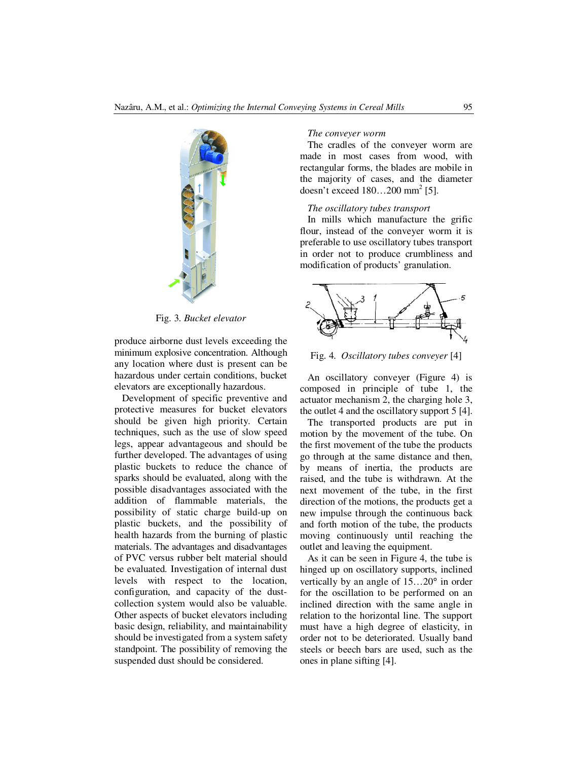

Fig. 3. *Bucket elevator* 

produce airborne dust levels exceeding the minimum explosive concentration. Although any location where dust is present can be hazardous under certain conditions, bucket elevators are exceptionally hazardous.

Development of specific preventive and protective measures for bucket elevators should be given high priority. Certain techniques, such as the use of slow speed legs, appear advantageous and should be further developed. The advantages of using plastic buckets to reduce the chance of sparks should be evaluated, along with the possible disadvantages associated with the addition of flammable materials, the possibility of static charge build-up on plastic buckets, and the possibility of health hazards from the burning of plastic materials. The advantages and disadvantages of PVC versus rubber belt material should be evaluated. Investigation of internal dust levels with respect to the location, configuration, and capacity of the dustcollection system would also be valuable. Other aspects of bucket elevators including basic design, reliability, and maintainability should be investigated from a system safety standpoint. The possibility of removing the suspended dust should be considered.

## *The conveyer worm*

The cradles of the conveyer worm are made in most cases from wood, with rectangular forms, the blades are mobile in the majority of cases, and the diameter doesn't exceed  $180...200$  mm<sup>2</sup> [5].

# *The oscillatory tubes transport*

In mills which manufacture the grific flour, instead of the conveyer worm it is preferable to use oscillatory tubes transport in order not to produce crumbliness and modification of products' granulation.



Fig. 4. *Oscillatory tubes conveyer* [4]

An oscillatory conveyer (Figure 4) is composed in principle of tube 1, the actuator mechanism 2, the charging hole 3, the outlet 4 and the oscillatory support 5 [4].

The transported products are put in motion by the movement of the tube. On the first movement of the tube the products go through at the same distance and then, by means of inertia, the products are raised, and the tube is withdrawn. At the next movement of the tube, in the first direction of the motions, the products get a new impulse through the continuous back and forth motion of the tube, the products moving continuously until reaching the outlet and leaving the equipment.

As it can be seen in Figure 4, the tube is hinged up on oscillatory supports, inclined vertically by an angle of 15…20° in order for the oscillation to be performed on an inclined direction with the same angle in relation to the horizontal line. The support must have a high degree of elasticity, in order not to be deteriorated. Usually band steels or beech bars are used, such as the ones in plane sifting [4].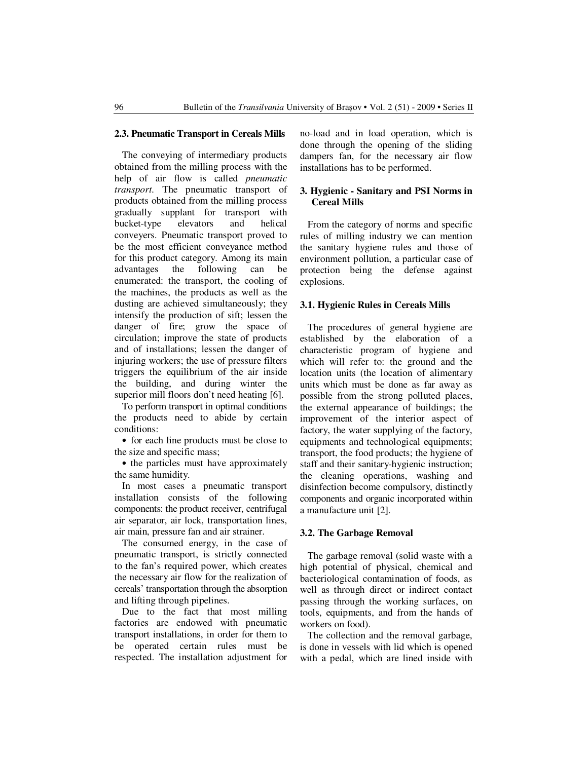#### **2.3. Pneumatic Transport in Cereals Mills**

The conveying of intermediary products obtained from the milling process with the help of air flow is called *pneumatic transport*. The pneumatic transport of products obtained from the milling process gradually supplant for transport with bucket-type elevators and helical conveyers. Pneumatic transport proved to be the most efficient conveyance method for this product category. Among its main advantages the following can be enumerated: the transport, the cooling of the machines, the products as well as the dusting are achieved simultaneously; they intensify the production of sift; lessen the danger of fire; grow the space of circulation; improve the state of products and of installations; lessen the danger of injuring workers; the use of pressure filters triggers the equilibrium of the air inside the building, and during winter the superior mill floors don't need heating [6].

To perform transport in optimal conditions the products need to abide by certain conditions:

• for each line products must be close to the size and specific mass;

• the particles must have approximately the same humidity.

In most cases a pneumatic transport installation consists of the following components: the product receiver, centrifugal air separator, air lock, transportation lines, air main, pressure fan and air strainer.

The consumed energy, in the case of pneumatic transport, is strictly connected to the fan's required power, which creates the necessary air flow for the realization of cereals' transportation through the absorption and lifting through pipelines.

Due to the fact that most milling factories are endowed with pneumatic transport installations, in order for them to be operated certain rules must be respected. The installation adjustment for no-load and in load operation, which is done through the opening of the sliding dampers fan, for the necessary air flow installations has to be performed.

# **3. Hygienic - Sanitary and PSI Norms in Cereal Mills**

From the category of norms and specific rules of milling industry we can mention the sanitary hygiene rules and those of environment pollution, a particular case of protection being the defense against explosions.

## **3.1. Hygienic Rules in Cereals Mills**

The procedures of general hygiene are established by the elaboration of a characteristic program of hygiene and which will refer to: the ground and the location units (the location of alimentary units which must be done as far away as possible from the strong polluted places, the external appearance of buildings; the improvement of the interior aspect of factory, the water supplying of the factory, equipments and technological equipments; transport, the food products; the hygiene of staff and their sanitary-hygienic instruction; the cleaning operations, washing and disinfection become compulsory, distinctly components and organic incorporated within a manufacture unit [2].

## **3.2. The Garbage Removal**

The garbage removal (solid waste with a high potential of physical, chemical and bacteriological contamination of foods, as well as through direct or indirect contact passing through the working surfaces, on tools, equipments, and from the hands of workers on food).

The collection and the removal garbage, is done in vessels with lid which is opened with a pedal, which are lined inside with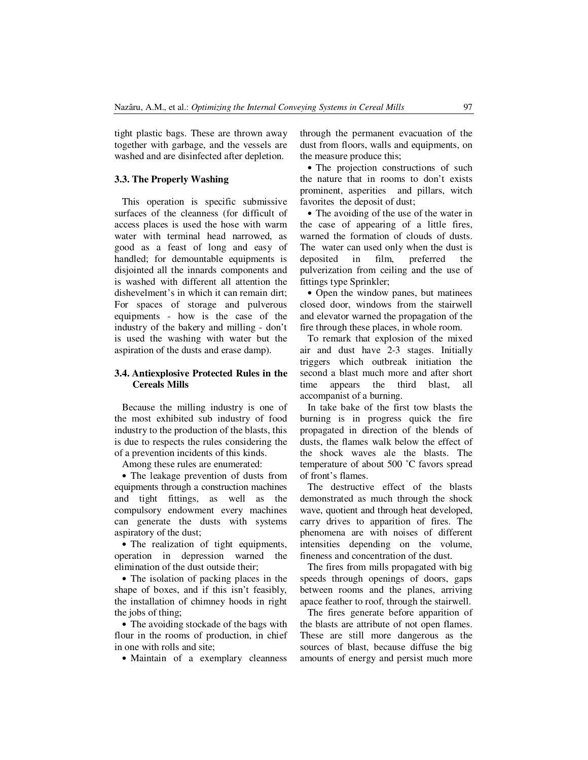tight plastic bags. These are thrown away together with garbage, and the vessels are washed and are disinfected after depletion.

# **3.3. The Properly Washing**

This operation is specific submissive surfaces of the cleanness (for difficult of access places is used the hose with warm water with terminal head narrowed, as good as a feast of long and easy of handled; for demountable equipments is disjointed all the innards components and is washed with different all attention the dishevelment's in which it can remain dirt; For spaces of storage and pulverous equipments - how is the case of the industry of the bakery and milling - don't is used the washing with water but the aspiration of the dusts and erase damp).

# **3.4. Antiexplosive Protected Rules in the Cereals Mills**

Because the milling industry is one of the most exhibited sub industry of food industry to the production of the blasts, this is due to respects the rules considering the of a prevention incidents of this kinds.

Among these rules are enumerated:

• The leakage prevention of dusts from equipments through a construction machines and tight fittings, as well as the compulsory endowment every machines can generate the dusts with systems aspiratory of the dust;

• The realization of tight equipments, operation in depression warned the elimination of the dust outside their;

• The isolation of packing places in the shape of boxes, and if this isn't feasibly, the installation of chimney hoods in right the jobs of thing;

• The avoiding stockade of the bags with flour in the rooms of production, in chief in one with rolls and site;

• Maintain of a exemplary cleanness

through the permanent evacuation of the dust from floors, walls and equipments, on the measure produce this;

• The projection constructions of such the nature that in rooms to don't exists prominent, asperities and pillars, witch favorites the deposit of dust;

• The avoiding of the use of the water in the case of appearing of a little fires, warned the formation of clouds of dusts. The water can used only when the dust is deposited in film, preferred the pulverization from ceiling and the use of fittings type Sprinkler;

• Open the window panes, but matinees closed door, windows from the stairwell and elevator warned the propagation of the fire through these places, in whole room.

To remark that explosion of the mixed air and dust have 2-3 stages. Initially triggers which outbreak initiation the second a blast much more and after short time appears the third blast, all accompanist of a burning.

In take bake of the first tow blasts the burning is in progress quick the fire propagated in direction of the blends of dusts, the flames walk below the effect of the shock waves ale the blasts. The temperature of about 500 ˚C favors spread of front's flames.

The destructive effect of the blasts demonstrated as much through the shock wave, quotient and through heat developed, carry drives to apparition of fires. The phenomena are with noises of different intensities depending on the volume, fineness and concentration of the dust.

The fires from mills propagated with big speeds through openings of doors, gaps between rooms and the planes, arriving apace feather to roof, through the stairwell.

The fires generate before apparition of the blasts are attribute of not open flames. These are still more dangerous as the sources of blast, because diffuse the big amounts of energy and persist much more